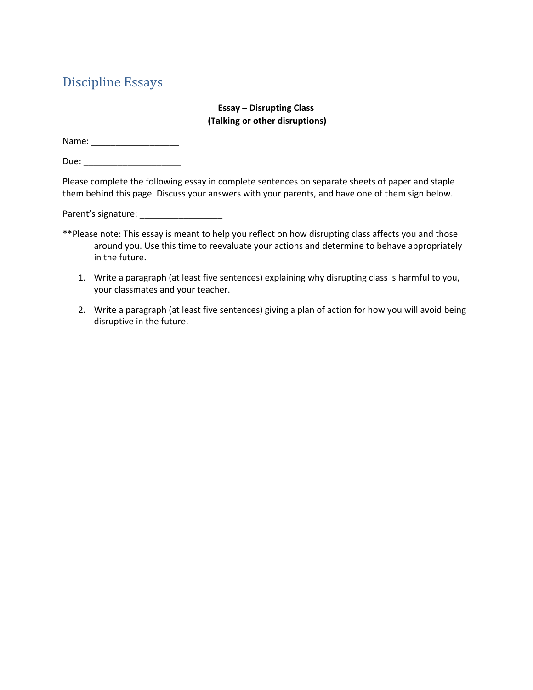# Discipline Essays

## **Essay – Disrupting Class (Talking or other disruptions)**

Name: \_\_\_\_\_\_\_\_\_\_\_\_\_\_\_\_\_\_

Due: \_\_\_\_\_\_\_\_\_\_\_\_\_\_\_\_\_\_\_\_

Please complete the following essay in complete sentences on separate sheets of paper and staple them behind this page. Discuss your answers with your parents, and have one of them sign below.

Parent's signature: \_\_\_\_\_\_\_\_\_\_\_\_\_\_\_\_\_

- \*\*Please note: This essay is meant to help you reflect on how disrupting class affects you and those around you. Use this time to reevaluate your actions and determine to behave appropriately in the future.
	- 1. Write a paragraph (at least five sentences) explaining why disrupting class is harmful to you, your classmates and your teacher.
	- 2. Write a paragraph (at least five sentences) giving a plan of action for how you will avoid being disruptive in the future.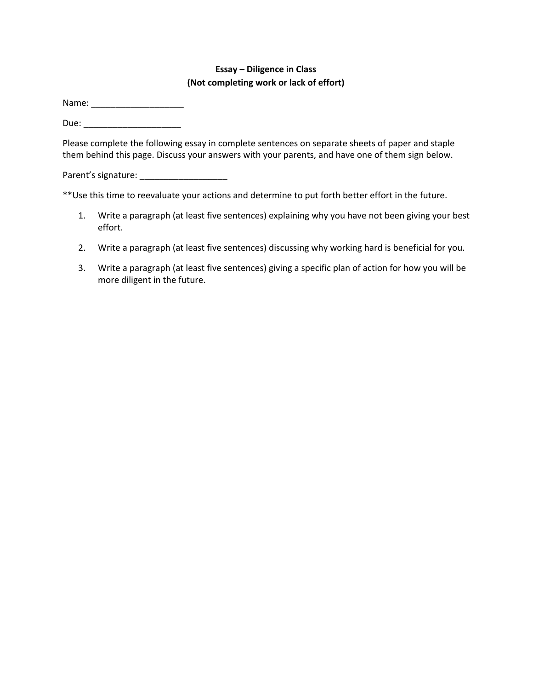## **Essay – Diligence in Class (Not completing work or lack of effort)**

Name: \_\_\_\_\_\_\_\_\_\_\_\_\_\_\_\_\_\_\_

Due: \_\_\_\_\_\_\_\_\_\_\_\_\_\_\_\_\_\_\_\_

Please complete the following essay in complete sentences on separate sheets of paper and staple them behind this page. Discuss your answers with your parents, and have one of them sign below.

Parent's signature: \_\_\_\_\_\_\_\_\_\_\_\_\_\_\_\_\_\_

\*\*Use this time to reevaluate your actions and determine to put forth better effort in the future.

- 1. Write a paragraph (at least five sentences) explaining why you have not been giving your best effort.
- 2. Write a paragraph (at least five sentences) discussing why working hard is beneficial for you.
- 3. Write a paragraph (at least five sentences) giving a specific plan of action for how you will be more diligent in the future.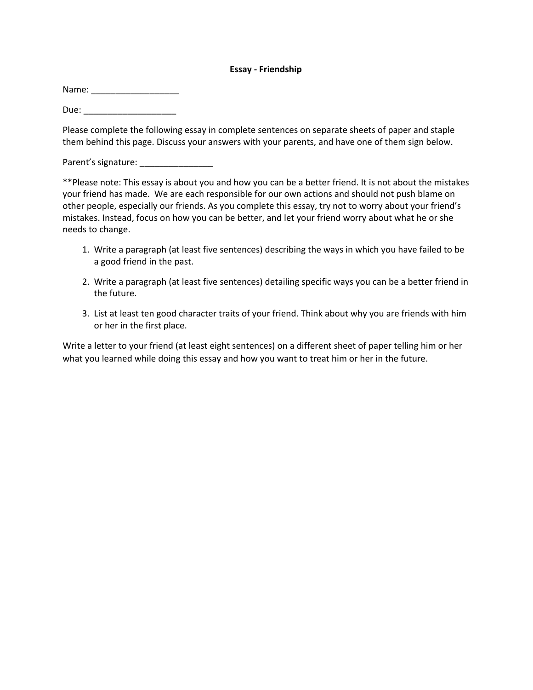## **Essay - Friendship**

Name: \_\_\_\_\_\_\_\_\_\_\_\_\_\_\_\_\_\_

Due: \_\_\_\_\_\_\_\_\_\_\_\_\_\_\_\_\_\_\_

Please complete the following essay in complete sentences on separate sheets of paper and staple them behind this page. Discuss your answers with your parents, and have one of them sign below.

Parent's signature:

\*\*Please note: This essay is about you and how you can be a better friend. It is not about the mistakes your friend has made. We are each responsible for our own actions and should not push blame on other people, especially our friends. As you complete this essay, try not to worry about your friend's mistakes. Instead, focus on how you can be better, and let your friend worry about what he or she needs to change.

- 1. Write a paragraph (at least five sentences) describing the ways in which you have failed to be a good friend in the past.
- 2. Write a paragraph (at least five sentences) detailing specific ways you can be a better friend in the future.
- 3. List at least ten good character traits of your friend. Think about why you are friends with him or her in the first place.

Write a letter to your friend (at least eight sentences) on a different sheet of paper telling him or her what you learned while doing this essay and how you want to treat him or her in the future.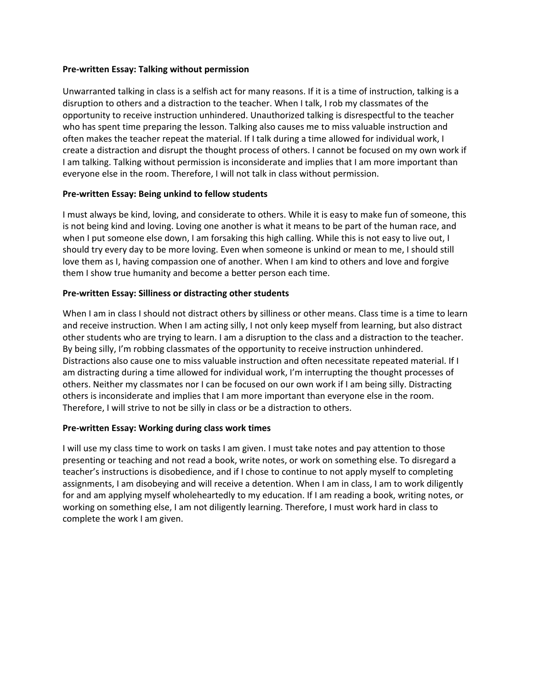## **Pre-written Essay: Talking without permission**

Unwarranted talking in class is a selfish act for many reasons. If it is a time of instruction, talking is a disruption to others and a distraction to the teacher. When I talk, I rob my classmates of the opportunity to receive instruction unhindered. Unauthorized talking is disrespectful to the teacher who has spent time preparing the lesson. Talking also causes me to miss valuable instruction and often makes the teacher repeat the material. If I talk during a time allowed for individual work, I create a distraction and disrupt the thought process of others. I cannot be focused on my own work if I am talking. Talking without permission is inconsiderate and implies that I am more important than everyone else in the room. Therefore, I will not talk in class without permission.

## **Pre-written Essay: Being unkind to fellow students**

I must always be kind, loving, and considerate to others. While it is easy to make fun of someone, this is not being kind and loving. Loving one another is what it means to be part of the human race, and when I put someone else down, I am forsaking this high calling. While this is not easy to live out, I should try every day to be more loving. Even when someone is unkind or mean to me, I should still love them as I, having compassion one of another. When I am kind to others and love and forgive them I show true humanity and become a better person each time.

#### **Pre-written Essay: Silliness or distracting other students**

When I am in class I should not distract others by silliness or other means. Class time is a time to learn and receive instruction. When I am acting silly, I not only keep myself from learning, but also distract other students who are trying to learn. I am a disruption to the class and a distraction to the teacher. By being silly, I'm robbing classmates of the opportunity to receive instruction unhindered. Distractions also cause one to miss valuable instruction and often necessitate repeated material. If I am distracting during a time allowed for individual work, I'm interrupting the thought processes of others. Neither my classmates nor I can be focused on our own work if I am being silly. Distracting others is inconsiderate and implies that I am more important than everyone else in the room. Therefore, I will strive to not be silly in class or be a distraction to others.

#### **Pre-written Essay: Working during class work times**

I will use my class time to work on tasks I am given. I must take notes and pay attention to those presenting or teaching and not read a book, write notes, or work on something else. To disregard a teacher's instructions is disobedience, and if I chose to continue to not apply myself to completing assignments, I am disobeying and will receive a detention. When I am in class, I am to work diligently for and am applying myself wholeheartedly to my education. If I am reading a book, writing notes, or working on something else, I am not diligently learning. Therefore, I must work hard in class to complete the work I am given.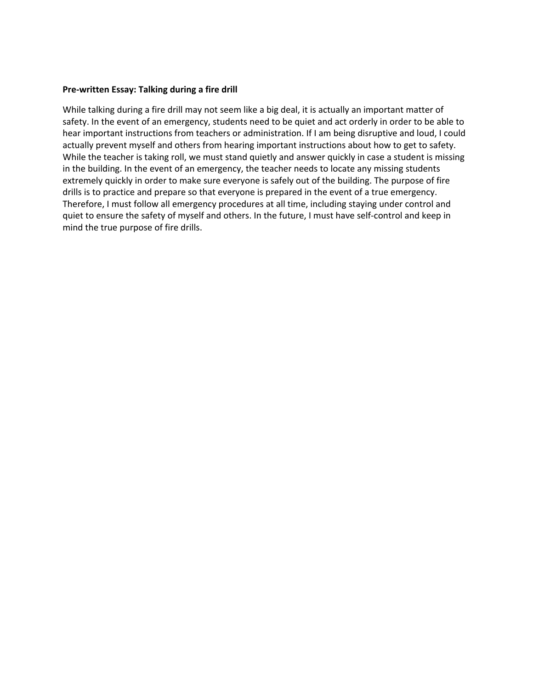#### **Pre-written Essay: Talking during a fire drill**

While talking during a fire drill may not seem like a big deal, it is actually an important matter of safety. In the event of an emergency, students need to be quiet and act orderly in order to be able to hear important instructions from teachers or administration. If I am being disruptive and loud, I could actually prevent myself and others from hearing important instructions about how to get to safety. While the teacher is taking roll, we must stand quietly and answer quickly in case a student is missing in the building. In the event of an emergency, the teacher needs to locate any missing students extremely quickly in order to make sure everyone is safely out of the building. The purpose of fire drills is to practice and prepare so that everyone is prepared in the event of a true emergency. Therefore, I must follow all emergency procedures at all time, including staying under control and quiet to ensure the safety of myself and others. In the future, I must have self-control and keep in mind the true purpose of fire drills.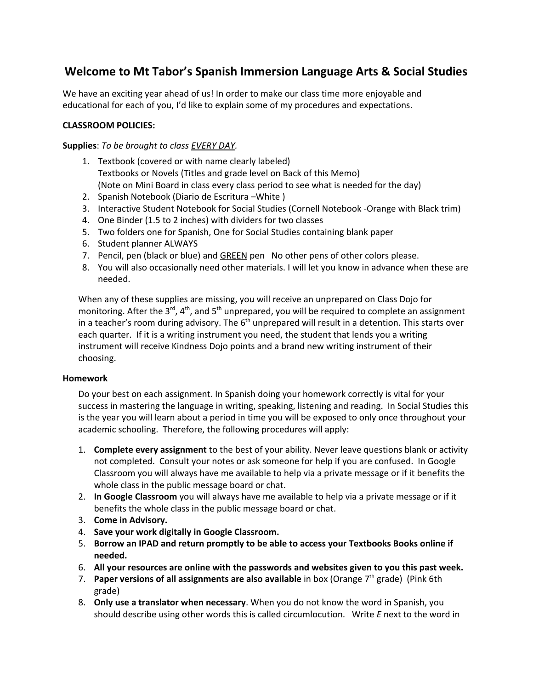# **Welcome to Mt Tabor's Spanish Immersion Language Arts & Social Studies**

We have an exciting year ahead of us! In order to make our class time more enjoyable and educational for each of you, I'd like to explain some of my procedures and expectations.

## **CLASSROOM POLICIES:**

**Supplies**: *To be brought to class EVERY DAY.*

- 1. Textbook (covered or with name clearly labeled) Textbooks or Novels (Titles and grade level on Back of this Memo) (Note on Mini Board in class every class period to see what is needed for the day)
- 2. Spanish Notebook (Diario de Escritura –White )
- 3. Interactive Student Notebook for Social Studies (Cornell Notebook -Orange with Black trim)
- 4. One Binder (1.5 to 2 inches) with dividers for two classes
- 5. Two folders one for Spanish, One for Social Studies containing blank paper
- 6. Student planner ALWAYS
- 7. Pencil, pen (black or blue) and GREEN pen No other pens of other colors please.
- 8. You will also occasionally need other materials. I will let you know in advance when these are needed.

When any of these supplies are missing, you will receive an unprepared on Class Dojo for monitoring. After the  $3^{rd}$ ,  $4^{th}$ , and  $5^{th}$  unprepared, you will be required to complete an assignment in a teacher's room during advisory. The  $6<sup>th</sup>$  unprepared will result in a detention. This starts over each quarter. If it is a writing instrument you need, the student that lends you a writing instrument will receive Kindness Dojo points and a brand new writing instrument of their choosing.

## **Homework**

Do your best on each assignment. In Spanish doing your homework correctly is vital for your success in mastering the language in writing, speaking, listening and reading. In Social Studies this is the year you will learn about a period in time you will be exposed to only once throughout your academic schooling. Therefore, the following procedures will apply:

- 1. **Complete every assignment** to the best of your ability. Never leave questions blank or activity not completed. Consult your notes or ask someone for help if you are confused. In Google Classroom you will always have me available to help via a private message or if it benefits the whole class in the public message board or chat.
- 2. **In Google Classroom** you will always have me available to help via a private message or if it benefits the whole class in the public message board or chat.
- 3. **Come in Advisory.**
- 4. **Save your work digitally in Google Classroom.**
- 5. **Borrow an IPAD and return promptly to be able to access your Textbooks Books online if needed.**
- 6. **All your resources are online with the passwords and websites given to you this past week.**
- 7. **Paper versions of all assignments are also available** in box (Orange 7th grade) (Pink 6th grade)
- 8. **Only use a translator when necessary**. When you do not know the word in Spanish, you should describe using other words this is called circumlocution. Write *E* next to the word in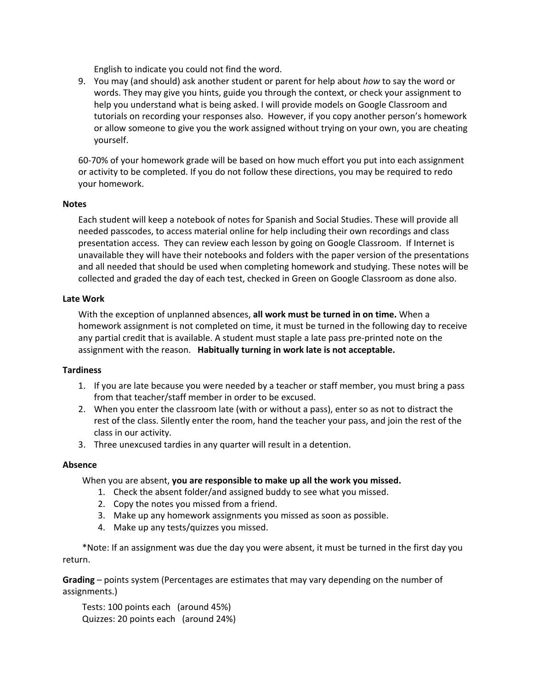English to indicate you could not find the word.

9. You may (and should) ask another student or parent for help about *how* to say the word or words. They may give you hints, guide you through the context, or check your assignment to help you understand what is being asked. I will provide models on Google Classroom and tutorials on recording your responses also. However, if you copy another person's homework or allow someone to give you the work assigned without trying on your own, you are cheating yourself.

60-70% of your homework grade will be based on how much effort you put into each assignment or activity to be completed. If you do not follow these directions, you may be required to redo your homework.

## **Notes**

Each student will keep a notebook of notes for Spanish and Social Studies. These will provide all needed passcodes, to access material online for help including their own recordings and class presentation access. They can review each lesson by going on Google Classroom. If Internet is unavailable they will have their notebooks and folders with the paper version of the presentations and all needed that should be used when completing homework and studying. These notes will be collected and graded the day of each test, checked in Green on Google Classroom as done also.

#### **Late Work**

With the exception of unplanned absences, **all work must be turned in on time.** When a homework assignment is not completed on time, it must be turned in the following day to receive any partial credit that is available. A student must staple a late pass pre-printed note on the assignment with the reason. **Habitually turning in work late is not acceptable.**

## **Tardiness**

- 1. If you are late because you were needed by a teacher or staff member, you must bring a pass from that teacher/staff member in order to be excused.
- 2. When you enter the classroom late (with or without a pass), enter so as not to distract the rest of the class. Silently enter the room, hand the teacher your pass, and join the rest of the class in our activity.
- 3. Three unexcused tardies in any quarter will result in a detention.

#### **Absence**

When you are absent, **you are responsible to make up all the work you missed.**

- 1. Check the absent folder/and assigned buddy to see what you missed.
- 2. Copy the notes you missed from a friend.
- 3. Make up any homework assignments you missed as soon as possible.
- 4. Make up any tests/quizzes you missed.

\*Note: If an assignment was due the day you were absent, it must be turned in the first day you return.

**Grading** – points system (Percentages are estimates that may vary depending on the number of assignments.)

Tests: 100 points each (around 45%) Quizzes: 20 points each (around 24%)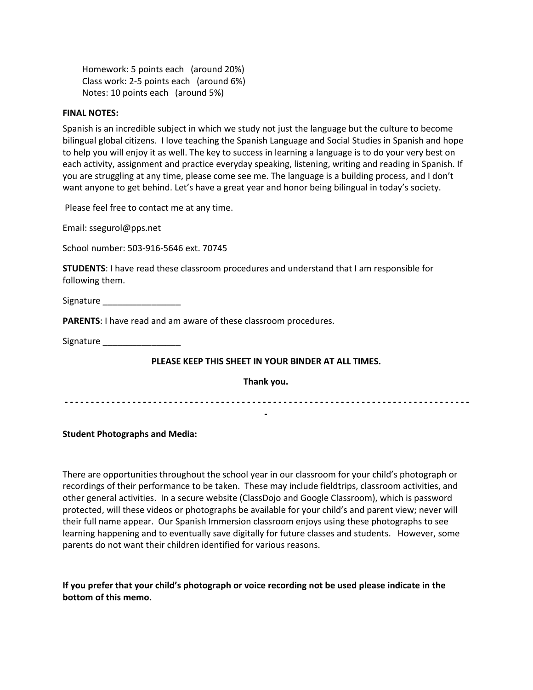Homework: 5 points each (around 20%) Class work: 2-5 points each (around 6%) Notes: 10 points each (around 5%)

#### **FINAL NOTES:**

Spanish is an incredible subject in which we study not just the language but the culture to become bilingual global citizens. I love teaching the Spanish Language and Social Studies in Spanish and hope to help you will enjoy it as well. The key to success in learning a language is to do your very best on each activity, assignment and practice everyday speaking, listening, writing and reading in Spanish. If you are struggling at any time, please come see me. The language is a building process, and I don't want anyone to get behind. Let's have a great year and honor being bilingual in today's society.

Please feel free to contact me at any time.

Email: ssegurol@pps.net

School number: 503-916-5646 ext. 70745

**STUDENTS**: I have read these classroom procedures and understand that I am responsible for following them.

Signature \_\_\_\_\_\_\_\_\_\_\_\_\_\_\_\_

**PARENTS**: I have read and am aware of these classroom procedures.

Signature <u>and</u>

#### **PLEASE KEEP THIS SHEET IN YOUR BINDER AT ALL TIMES.**

**Thank you.**

 **- - - - - - - - - - - - - - - - - - - - - - - - - - - - - - - - - - - - - - - - - - - - - - - - - - - - - - - - - - - - - - - - - - - - - - - - - - - - - - -**

#### **Student Photographs and Media:**

There are opportunities throughout the school year in our classroom for your child's photograph or recordings of their performance to be taken. These may include fieldtrips, classroom activities, and other general activities. In a secure website (ClassDojo and Google Classroom), which is password protected, will these videos or photographs be available for your child's and parent view; never will their full name appear. Our Spanish Immersion classroom enjoys using these photographs to see learning happening and to eventually save digitally for future classes and students. However, some parents do not want their children identified for various reasons.

**If you prefer that your child's photograph or voice recording not be used please indicate in the bottom of this memo.**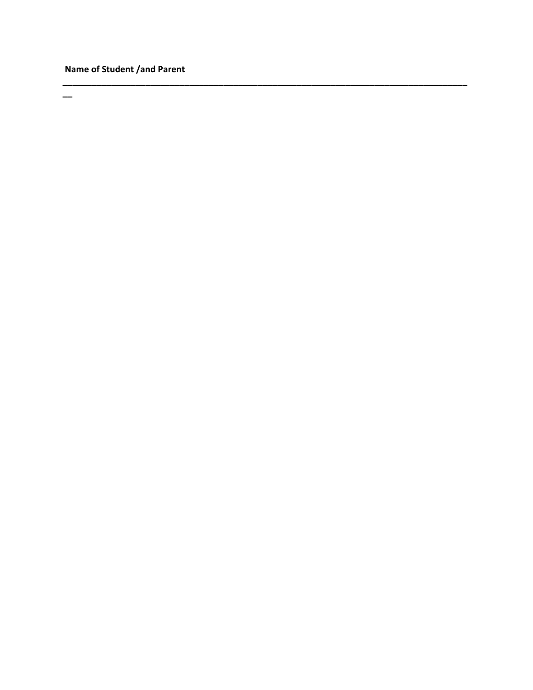# Name of Student /and Parent

 $\overline{\phantom{0}}$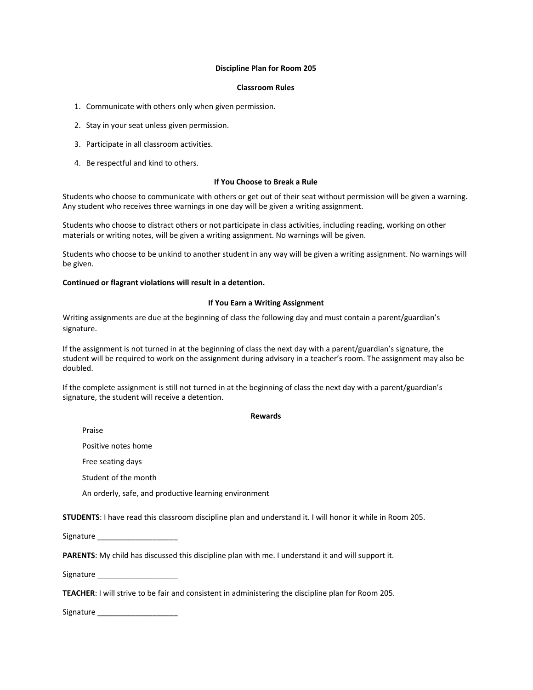#### **Discipline Plan for Room 205**

#### **Classroom Rules**

- 1. Communicate with others only when given permission.
- 2. Stay in your seat unless given permission.
- 3. Participate in all classroom activities.
- 4. Be respectful and kind to others.

#### **If You Choose to Break a Rule**

Students who choose to communicate with others or get out of their seat without permission will be given a warning. Any student who receives three warnings in one day will be given a writing assignment.

Students who choose to distract others or not participate in class activities, including reading, working on other materials or writing notes, will be given a writing assignment. No warnings will be given.

Students who choose to be unkind to another student in any way will be given a writing assignment. No warnings will be given.

#### **Continued or flagrant violations will result in a detention.**

#### **If You Earn a Writing Assignment**

Writing assignments are due at the beginning of class the following day and must contain a parent/guardian's signature.

If the assignment is not turned in at the beginning of class the next day with a parent/guardian's signature, the student will be required to work on the assignment during advisory in a teacher's room. The assignment may also be doubled.

If the complete assignment is still not turned in at the beginning of class the next day with a parent/guardian's signature, the student will receive a detention.

**Rewards**

Praise

Positive notes home

Free seating days

Student of the month

An orderly, safe, and productive learning environment

**STUDENTS**: I have read this classroom discipline plan and understand it. I will honor it while in Room 205.

Signature \_\_\_\_\_\_\_\_\_\_\_\_\_\_\_\_\_\_\_

**PARENTS**: My child has discussed this discipline plan with me. I understand it and will support it.

Signature \_\_\_\_\_\_\_\_\_\_\_\_\_\_\_\_\_\_\_

**TEACHER**: I will strive to be fair and consistent in administering the discipline plan for Room 205.

Signature \_\_\_\_\_\_\_\_\_\_\_\_\_\_\_\_\_\_\_